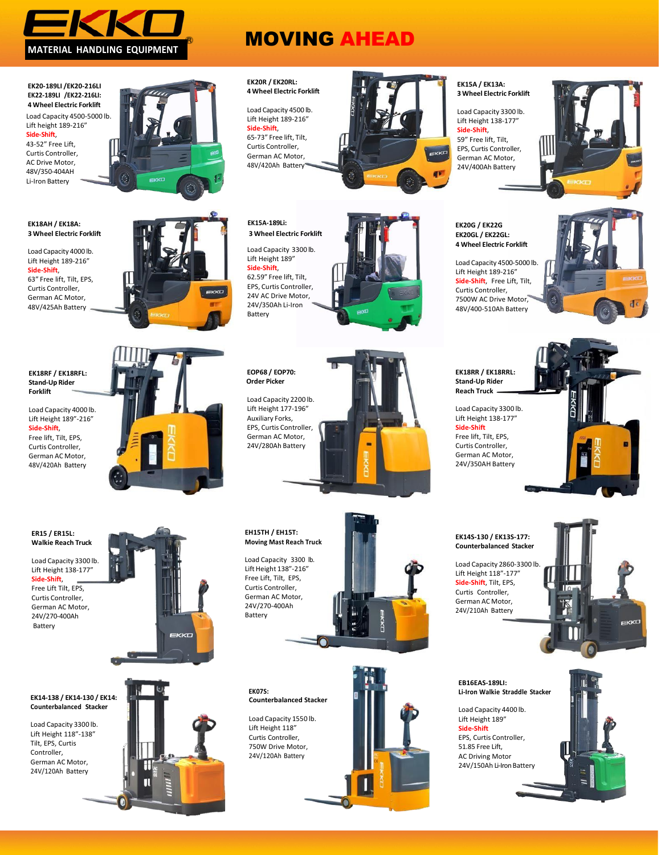

# MOVING AHEAD

**EK20-189LI /EK20-216LI EK22-189LI /EK22-216LI: 4 Wheel Electric Forklift** Load Capacity 4500-5000 lb. Lift height 189-216" **Side-Shift**,

43-52" Free Lift, Curtis Controller, AC Drive Motor, 48V/350-404AH Li-Iron Battery

## **3 Wheel Electric Forklift**

Load Capacity 4000 lb. Lift Height 189-216" **Side-Shift**, 63" Free lift, Tilt, EPS, Curtis Controller,

German AC Motor, 48V/425Ah Battery



**EK20R / EK20RL: 4Wheel Electric Forklift** Load Capacity 4500 lb.

Lift Height 189-216" **Side-Shift**, 65-73" Free lift, Tilt, Curtis Controller, German AC Motor, 48V/420Ah Battery

**3 Wheel Electric Forklift** Load Capacity 3300 lb. Lift Height 189" **Side-Shift**, 62.59" Free lift, Tilt, EPS, Curtis Controller, 24V AC Drive Motor, 24V/350Ah Li-Iron **Battery** 



### **EK15A / EK13A: 3Wheel Electric Forklift**

Load Capacity 3300 lb. Lift Height 138-177" **Side-Shift**, 59" Free lift, Tilt, EPS, Curtis Controller, German AC Motor, 24V/400Ah Battery



**EK20GL / EK22GL: 4 Wheel Electric Forklift**

Load Capacity 4500-5000 lb. Lift Height 189-216" **Side-Shift**, Free Lift, Tilt, Curtis Controller, 7500W AC Drive Motor, 48V/400-510Ah Battery

**EK18RR / EK18RRL: Stand-Up Rider Reach Truck**

Load Capacity 3300 lb. Lift Height 138-177" **Side-Shift** Free lift, Tilt, EPS, Curtis Controller, German AC Motor, 24V/350AH Battery



### **EK18RF / EK18RFL: Stand-Up Rider Forklift**

Load Capacity 4000 lb. Lift Height 189"-216" **Side-Shift**, Free lift, Tilt, EPS, Curtis Controller, German AC Motor, 48V/420Ah Battery

**ER15 / ER15L: Walkie Reach Truck** Load Capacity 3300 lb. Lift Height 138-177" **Side-Shift**, Free Lift Tilt, EPS, Curtis Controller, German AC Motor, 24V/270-400Ah Battery







### **EH15TH / EH15T: Moving Mast Reach Truck**

Load Capacity 3300 lb. Lift Height 138"-216" Free Lift, Tilt, EPS, Curtis Controller, German AC Motor, 24V/270-400Ah Battery



**EK07S: Counterbalanced Stacker**

Load Capacity 1550 lb. Lift Height 118" Curtis Controller, 750W Drive Motor, 24V/120Ah Battery



### **EK14S-130 / EK13S-177: Counterbalanced Stacker**

Load Capacity 2860-3300 lb.



Lift Height 118"-177" **Side-Shift**, Tilt, EPS, Curtis Controller, German AC Motor, 24V/210Ah Battery



**EB16EAS-189LI: Li-Iron Walkie Straddle Stacker**

Load Capacity 4400 lb. Lift Height 189" **Side-Shift** EPS, Curtis Controller, 51.85 Free Lift, AC Driving Motor 24V/150Ah Li-Iron Battery





### **EK14-138 / EK14-130 / EK14: Counterbalanced Stacker**

Load Capacity 3300 lb. Lift Height 118"-138" Tilt, EPS, Curtis Controller, German AC Motor, 24V/120Ah Battery